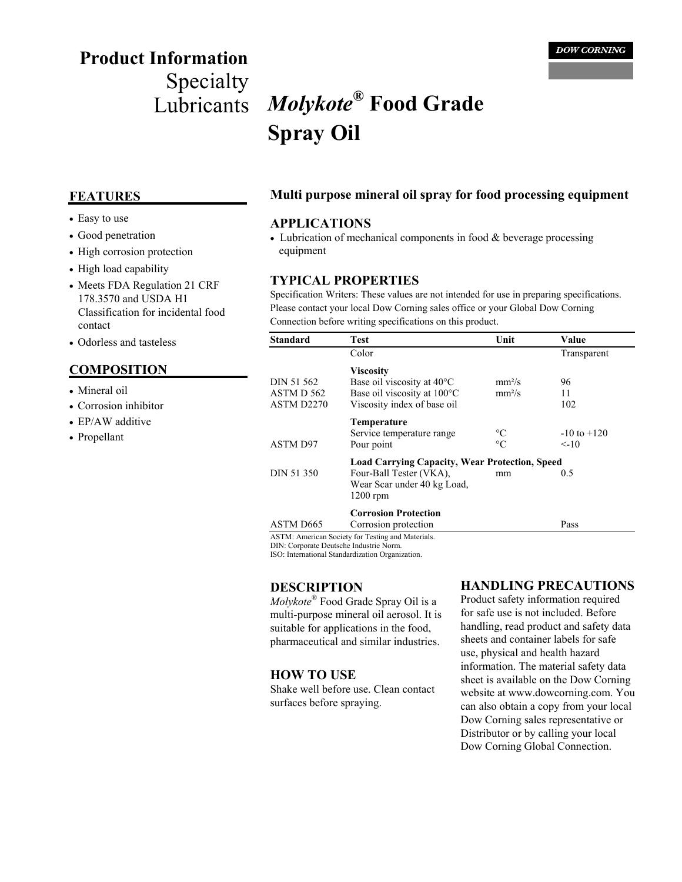# **Product Information**

## Specialty Lubricants *Molykote***® Food Grade Spray Oil**

- Easy to use
- Good penetration
- High corrosion protection
- High load capability
- Meets FDA Regulation 21 CRF 178.3570 and USDA H1 Classification for incidental food contact
- Odorless and tasteless

#### **COMPOSITION**

- Mineral oil
- Corrosion inhibitor
- EP/AW additive
- Propellant

#### **FEATURES Multi purpose mineral oil spray for food processing equipment**

#### **APPLICATIONS**

• Lubrication of mechanical components in food & beverage processing equipment

#### **TYPICAL PROPERTIES**

Specification Writers: These values are not intended for use in preparing specifications. Please contact your local Dow Corning sales office or your Global Dow Corning Connection before writing specifications on this product.

| Standard                               | Test                                                  | Unit               | Value           |
|----------------------------------------|-------------------------------------------------------|--------------------|-----------------|
|                                        | Color                                                 |                    | Transparent     |
|                                        | <b>Viscosity</b>                                      |                    |                 |
| DIN 51 562                             | Base oil viscosity at $40^{\circ}$ C                  | mm <sup>2</sup> /s | 96              |
| ASTM D 562                             | Base oil viscosity at 100°C                           | mm <sup>2</sup> /s | 11              |
| ASTM D2270                             | Viscosity index of base oil                           |                    | 102             |
|                                        | <b>Temperature</b>                                    |                    |                 |
|                                        | Service temperature range                             | $\rm ^{\circ}C$    | $-10$ to $+120$ |
| <b>ASTM D97</b>                        | Pour point                                            | $\rm ^{\circ}C$    | $\leq$ -10      |
|                                        | <b>Load Carrying Capacity, Wear Protection, Speed</b> |                    |                 |
| DIN 51 350                             | Four-Ball Tester (VKA),                               | mm                 | 0.5             |
|                                        | Wear Scar under 40 kg Load,                           |                    |                 |
|                                        | $1200$ rpm                                            |                    |                 |
|                                        | <b>Corrosion Protection</b>                           |                    |                 |
| ASTM D665                              | Corrosion protection                                  |                    | Pass            |
| DIN: Cornorato Doutscho Industrio Norm | ASTM: American Society for Testing and Materials.     |                    |                 |

DIN: Corporate Deutsche Industrie Norm. ISO: International Standardization Organization.

#### **DESCRIPTION**

*Molykote*® Food Grade Spray Oil is a multi-purpose mineral oil aerosol. It is suitable for applications in the food, pharmaceutical and similar industries.

#### **HOW TO USE**

Shake well before use. Clean contact surfaces before spraying.

#### **HANDLING PRECAUTIONS**

Product safety information required for safe use is not included. Before handling, read product and safety data sheets and container labels for safe use, physical and health hazard information. The material safety data sheet is available on the Dow Corning website at www.dowcorning.com. You can also obtain a copy from your local Dow Corning sales representative or Distributor or by calling your local Dow Corning Global Connection.